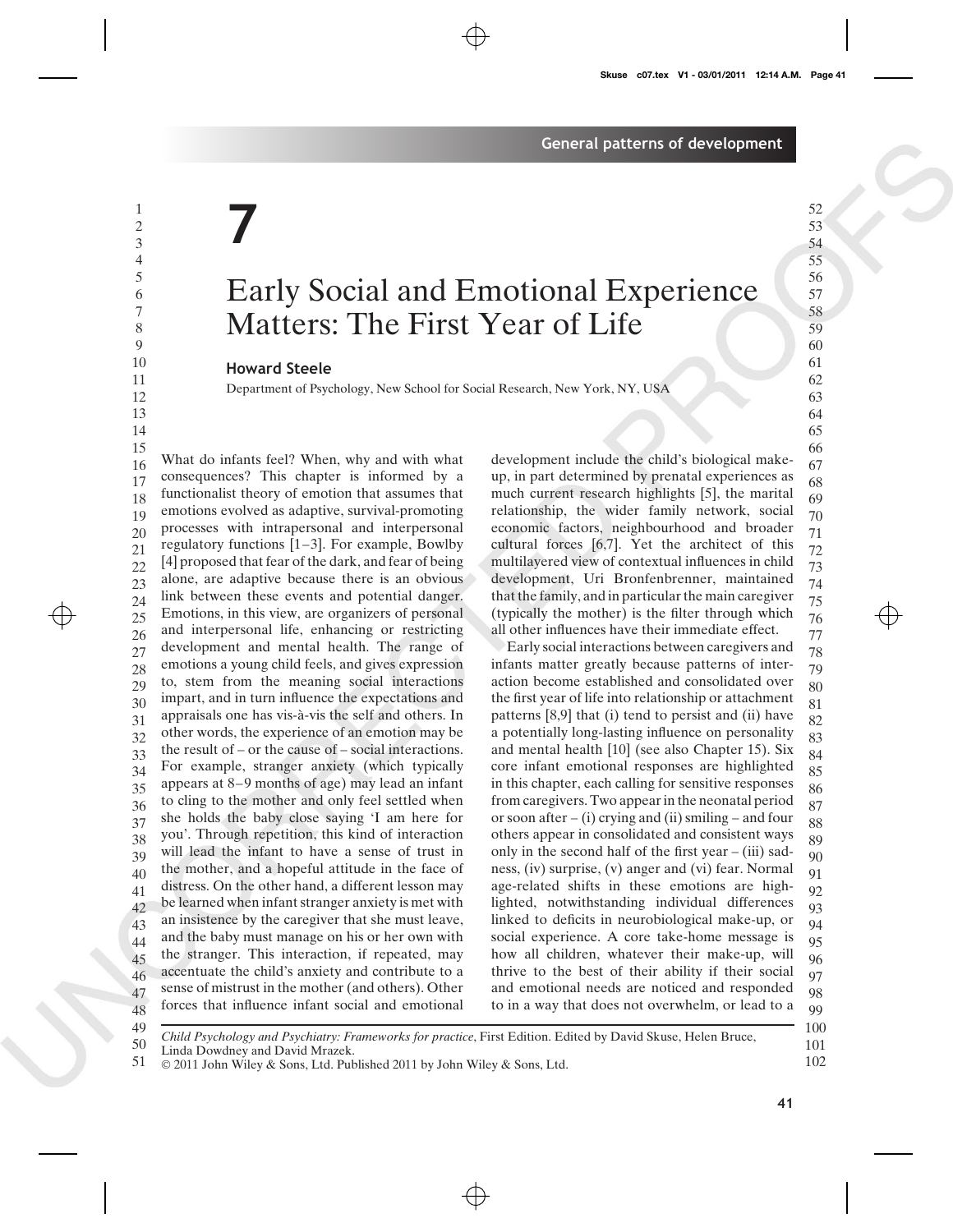**General patterns of development**

# Early Social and Emotional Experience Matters: The First Year of Life

### **Howard Steele**

**7**

Department of Psychology, New School for Social Research, New York, NY, USA

What do infants feel? When, why and with what consequences? This chapter is informed by a functionalist theory of emotion that assumes that emotions evolved as adaptive, survival-promoting processes with intrapersonal and interpersonal regulatory functions [1–3]. For example, Bowlby [4] proposed that fear of the dark, and fear of being alone, are adaptive because there is an obvious link between these events and potential danger. Emotions, in this view, are organizers of personal and interpersonal life, enhancing or restricting development and mental health. The range of emotions a young child feels, and gives expression to, stem from the meaning social interactions impart, and in turn influence the expectations and appraisals one has vis-a-vis the self and others. In ` other words, the experience of an emotion may be the result of – or the cause of – social interactions. For example, stranger anxiety (which typically appears at 8–9 months of age) may lead an infant to cling to the mother and only feel settled when she holds the baby close saying 'I am here for you'. Through repetition, this kind of interaction will lead the infant to have a sense of trust in the mother, and a hopeful attitude in the face of distress. On the other hand, a different lesson may be learned when infant stranger anxiety is met with an insistence by the caregiver that she must leave, and the baby must manage on his or her own with the stranger. This interaction, if repeated, may accentuate the child's anxiety and contribute to a sense of mistrust in the mother (and others). Other forces that influence infant social and emotional 15 16 17 18 19 20 21 22 23 24 25 26 27 28 29 30 31 32 33 34 35 36 37 38 39 40 41 42 43 44 45 46 47

development include the child's biological makeup, in part determined by prenatal experiences as much current research highlights [5], the marital relationship, the wider family network, social economic factors, neighbourhood and broader cultural forces [6,7]. Yet the architect of this multilayered view of contextual influences in child development, Uri Bronfenbrenner, maintained that the family, and in particular the main caregiver (typically the mother) is the filter through which all other influences have their immediate effect. 67 68 69 70 71 72 73 74 75 76 77

Early social interactions between caregivers and infants matter greatly because patterns of interaction become established and consolidated over the first year of life into relationship or attachment patterns [8,9] that (i) tend to persist and (ii) have a potentially long-lasting influence on personality and mental health [10] (see also Chapter 15). Six core infant emotional responses are highlighted in this chapter, each calling for sensitive responses from caregivers. Two appear in the neonatal period or soon after  $-$  (i) crying and (ii) smiling  $-$  and four others appear in consolidated and consistent ways only in the second half of the first year – (iii) sadness, (iv) surprise, (v) anger and (vi) fear. Normal age-related shifts in these emotions are highlighted, notwithstanding individual differences linked to deficits in neurobiological make-up, or social experience. A core take-home message is how all children, whatever their make-up, will thrive to the best of their ability if their social and emotional needs are noticed and responded to in a way that does not overwhelm, or lead to a 78 79 80 81 82 83 84 85 86 87 88 89 90 91 92 93 94 95 96 97 98 99

*Child Psychology and Psychiatry: Frameworks for practice*, First Edition. Edited by David Skuse, Helen Bruce, 50

Linda Dowdney and David Mrazek.

© 2011 John Wiley & Sons, Ltd. Published 2011 by John Wiley & Sons, Ltd. 51

<sup>48</sup> 49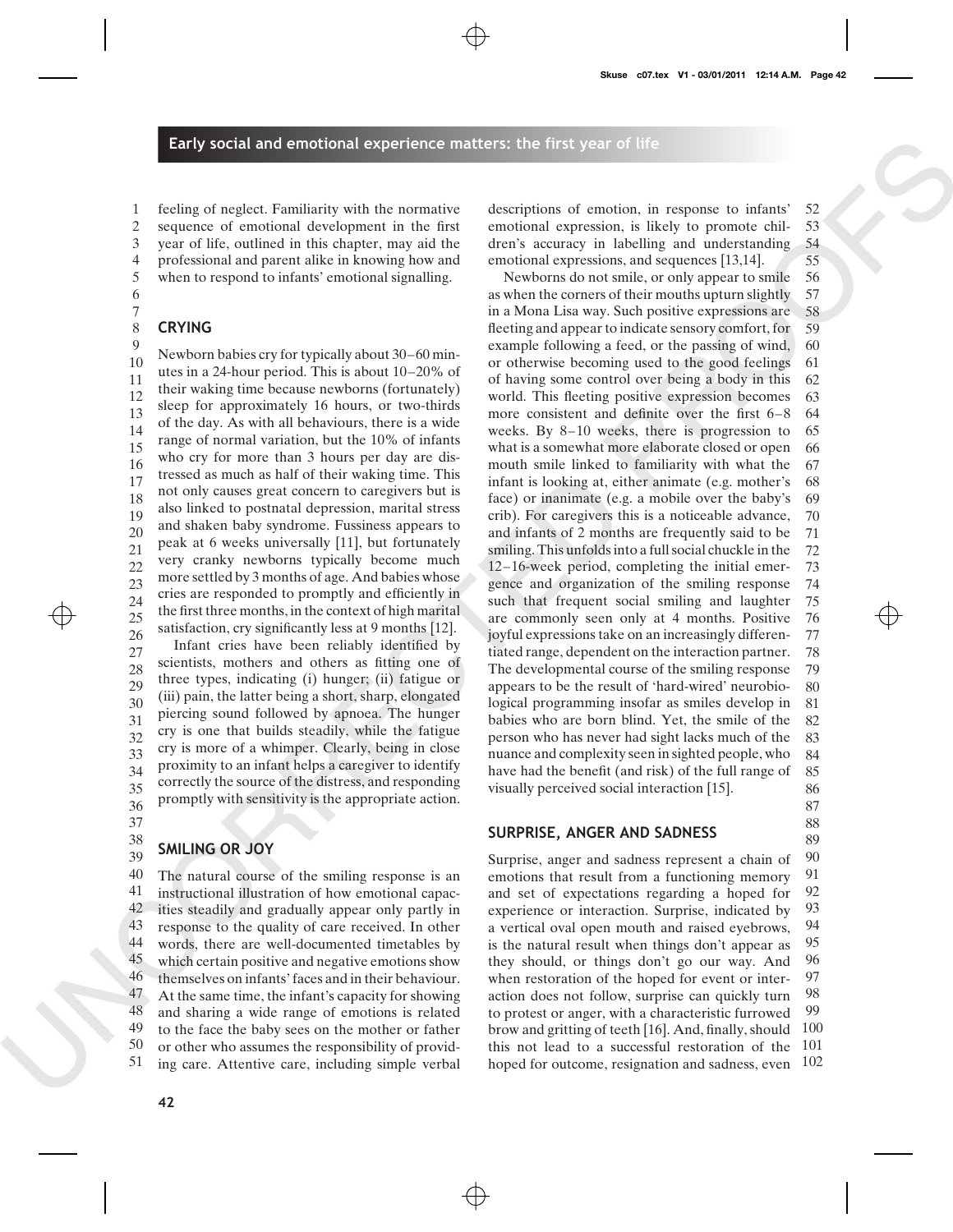feeling of neglect. Familiarity with the normative sequence of emotional development in the first year of life, outlined in this chapter, may aid the professional and parent alike in knowing how and when to respond to infants' emotional signalling. 1 2 3 4 5

6 7

#### **CRYING** 8

Newborn babies cry for typically about 30–60 minutes in a 24-hour period. This is about 10–20% of their waking time because newborns (fortunately) sleep for approximately 16 hours, or two-thirds of the day. As with all behaviours, there is a wide range of normal variation, but the 10% of infants who cry for more than 3 hours per day are distressed as much as half of their waking time. This not only causes great concern to caregivers but is also linked to postnatal depression, marital stress and shaken baby syndrome. Fussiness appears to peak at 6 weeks universally [11], but fortunately very cranky newborns typically become much more settled by 3 months of age. And babies whose cries are responded to promptly and efficiently in the first three months, in the context of high marital satisfaction, cry significantly less at 9 months [12]. 9 10 11 12 13 14 15 16 17 18 19 20 21 22 23 24 25 26

Infant cries have been reliably identified by scientists, mothers and others as fitting one of three types, indicating (i) hunger; (ii) fatigue or (iii) pain, the latter being a short, sharp, elongated piercing sound followed by apnoea. The hunger cry is one that builds steadily, while the fatigue cry is more of a whimper. Clearly, being in close proximity to an infant helps a caregiver to identify correctly the source of the distress, and responding promptly with sensitivity is the appropriate action. 27 28 29 30 31 32 33 34 35 36

37

#### **SMILING OR JOY** 38 39

The natural course of the smiling response is an instructional illustration of how emotional capacities steadily and gradually appear only partly in response to the quality of care received. In other words, there are well-documented timetables by which certain positive and negative emotions show themselves on infants' faces and in their behaviour. At the same time, the infant's capacity for showing and sharing a wide range of emotions is related to the face the baby sees on the mother or father or other who assumes the responsibility of providing care. Attentive care, including simple verbal 40 41 42 43 44 45 46 47 48 49 50 51

descriptions of emotion, in response to infants' emotional expression, is likely to promote children's accuracy in labelling and understanding emotional expressions, and sequences [13,14]. 52 53 54 55

Newborns do not smile, or only appear to smile as when the corners of their mouths upturn slightly in a Mona Lisa way. Such positive expressions are fleeting and appear to indicate sensory comfort, for example following a feed, or the passing of wind, or otherwise becoming used to the good feelings of having some control over being a body in this world. This fleeting positive expression becomes more consistent and definite over the first 6–8 weeks. By 8–10 weeks, there is progression to what is a somewhat more elaborate closed or open mouth smile linked to familiarity with what the infant is looking at, either animate (e.g. mother's face) or inanimate (e.g. a mobile over the baby's crib). For caregivers this is a noticeable advance, and infants of 2 months are frequently said to be smiling. This unfolds into a full social chuckle in the 12–16-week period, completing the initial emergence and organization of the smiling response such that frequent social smiling and laughter are commonly seen only at 4 months. Positive joyful expressions take on an increasingly differentiated range, dependent on the interaction partner. The developmental course of the smiling response appears to be the result of 'hard-wired' neurobiological programming insofar as smiles develop in babies who are born blind. Yet, the smile of the person who has never had sight lacks much of the nuance and complexity seen in sighted people, who have had the benefit (and risk) of the full range of visually perceived social interaction [15]. 56 57 58 59 60 61 62 63 64 65 66 67 68 69 70 71 72 73 74 75 76 77 78 79 80 81 82 83 84 85 86

## **SURPRISE, ANGER AND SADNESS**

Surprise, anger and sadness represent a chain of emotions that result from a functioning memory and set of expectations regarding a hoped for experience or interaction. Surprise, indicated by a vertical oval open mouth and raised eyebrows, is the natural result when things don't appear as they should, or things don't go our way. And when restoration of the hoped for event or interaction does not follow, surprise can quickly turn to protest or anger, with a characteristic furrowed brow and gritting of teeth [16]. And, finally, should this not lead to a successful restoration of the hoped for outcome, resignation and sadness, even 90 91 92 93 94 95 96 97 98 99 100 101 102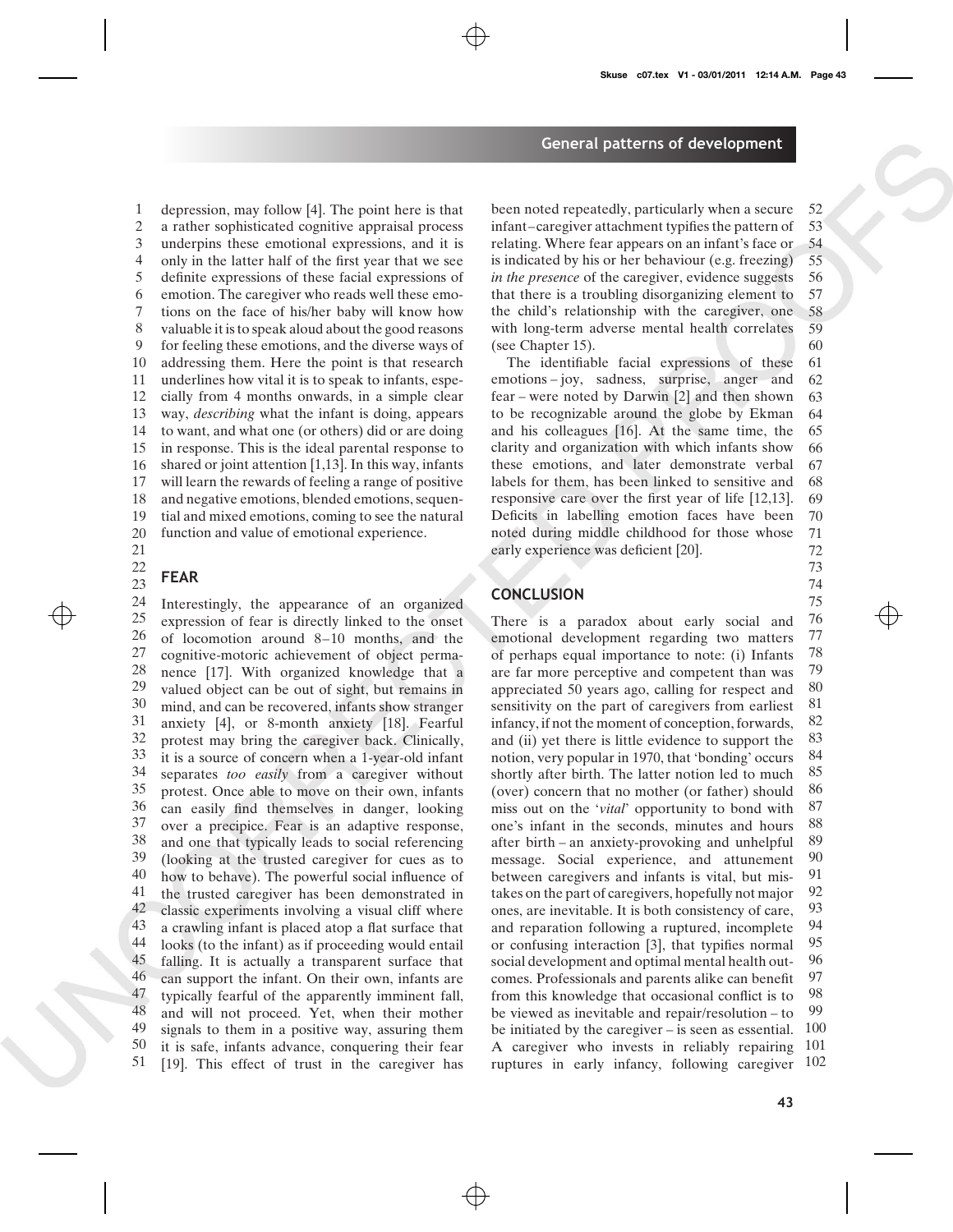depression, may follow [4]. The point here is that a rather sophisticated cognitive appraisal process underpins these emotional expressions, and it is only in the latter half of the first year that we see definite expressions of these facial expressions of emotion. The caregiver who reads well these emotions on the face of his/her baby will know how valuable it is to speak aloud about the good reasons for feeling these emotions, and the diverse ways of addressing them. Here the point is that research underlines how vital it is to speak to infants, especially from 4 months onwards, in a simple clear way, *describing* what the infant is doing, appears to want, and what one (or others) did or are doing in response. This is the ideal parental response to shared or joint attention [1,13]. In this way, infants will learn the rewards of feeling a range of positive and negative emotions, blended emotions, sequential and mixed emotions, coming to see the natural

function and value of emotional experience. 20

21

#### **FEAR** 22 23

Interestingly, the appearance of an organized expression of fear is directly linked to the onset of locomotion around 8–10 months, and the cognitive-motoric achievement of object permanence [17]. With organized knowledge that a valued object can be out of sight, but remains in mind, and can be recovered, infants show stranger anxiety [4], or 8-month anxiety [18]. Fearful protest may bring the caregiver back. Clinically, it is a source of concern when a 1-year-old infant separates *too easily* from a caregiver without protest. Once able to move on their own, infants can easily find themselves in danger, looking over a precipice. Fear is an adaptive response, and one that typically leads to social referencing (looking at the trusted caregiver for cues as to how to behave). The powerful social influence of the trusted caregiver has been demonstrated in classic experiments involving a visual cliff where a crawling infant is placed atop a flat surface that looks (to the infant) as if proceeding would entail falling. It is actually a transparent surface that can support the infant. On their own, infants are typically fearful of the apparently imminent fall, and will not proceed. Yet, when their mother signals to them in a positive way, assuring them it is safe, infants advance, conquering their fear [19]. This effect of trust in the caregiver has 24 25 26 27 28 29 30 31 32 33 34 35 36 37 38 39 40 41 42 43 44 45 46 47 48 49 50 51

# **General patterns of development**

been noted repeatedly, particularly when a secure infant–caregiver attachment typifies the pattern of relating. Where fear appears on an infant's face or is indicated by his or her behaviour (e.g. freezing) *in the presence* of the caregiver, evidence suggests that there is a troubling disorganizing element to the child's relationship with the caregiver, one with long-term adverse mental health correlates (see Chapter 15). 52 53 54 55 56 57 58 59 60

The identifiable facial expressions of these emotions – joy, sadness, surprise, anger and fear – were noted by Darwin [2] and then shown to be recognizable around the globe by Ekman and his colleagues [16]. At the same time, the clarity and organization with which infants show these emotions, and later demonstrate verbal labels for them, has been linked to sensitive and responsive care over the first year of life [12,13]. Deficits in labelling emotion faces have been noted during middle childhood for those whose early experience was deficient [20]. 61 62 63 64 65 66 67 68 69 70 71 72

# **CONCLUSION**

There is a paradox about early social and emotional development regarding two matters of perhaps equal importance to note: (i) Infants are far more perceptive and competent than was appreciated 50 years ago, calling for respect and sensitivity on the part of caregivers from earliest infancy, if not the moment of conception, forwards, and (ii) yet there is little evidence to support the notion, very popular in 1970, that 'bonding' occurs shortly after birth. The latter notion led to much (over) concern that no mother (or father) should miss out on the '*vital*' opportunity to bond with one's infant in the seconds, minutes and hours after birth – an anxiety-provoking and unhelpful message. Social experience, and attunement between caregivers and infants is vital, but mistakes on the part of caregivers, hopefully not major ones, are inevitable. It is both consistency of care, and reparation following a ruptured, incomplete or confusing interaction [3], that typifies normal social development and optimal mental health outcomes. Professionals and parents alike can benefit from this knowledge that occasional conflict is to be viewed as inevitable and repair/resolution – to be initiated by the caregiver – is seen as essential. A caregiver who invests in reliably repairing ruptures in early infancy, following caregiver 76 77 78 7ς 80 81 82 83 84 85 86 87 88 89 90 91 92 93 94 95 96 97 98 99 100 101 102